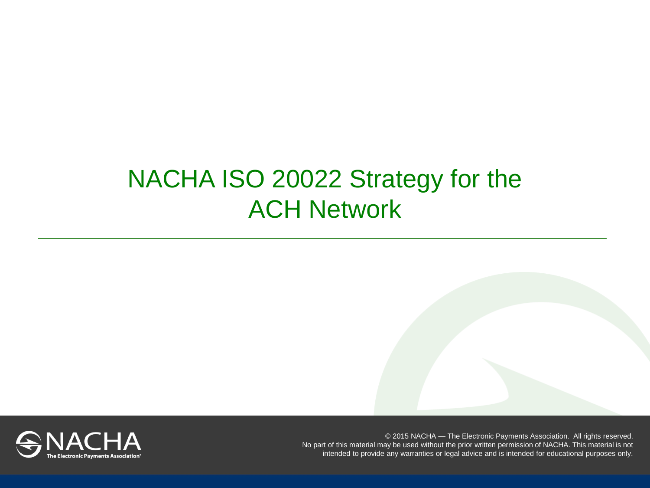# NACHA ISO 20022 Strategy for the ACH Network

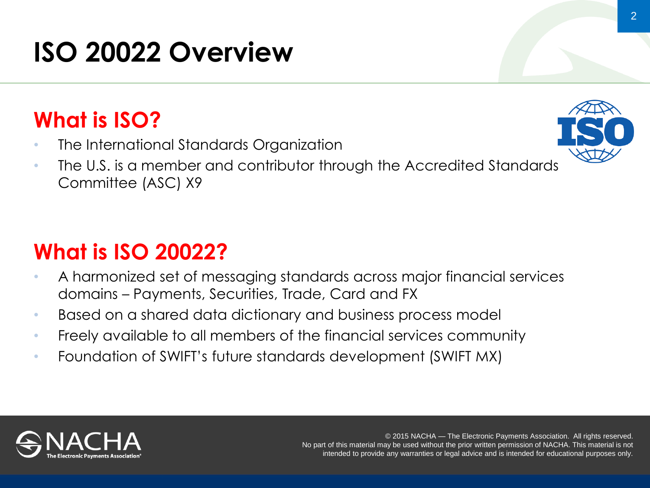# **ISO 20022 Overview**

# **What is ISO?**

- The International Standards Organization
- The U.S. is a member and contributor through the Accredited Standards Committee (ASC) X9

# **What is ISO 20022?**

- A harmonized set of messaging standards across major financial services domains – Payments, Securities, Trade, Card and FX
- Based on a shared data dictionary and business process model
- Freely available to all members of the financial services community
- Foundation of SWIFT's future standards development (SWIFT MX)



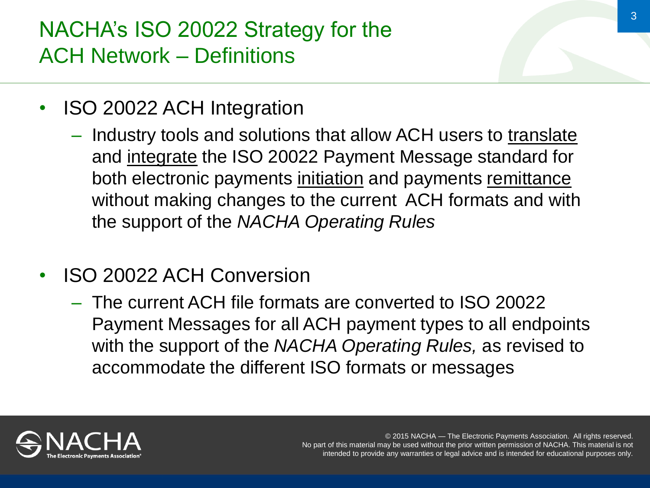### NACHA's ISO 20022 Strategy for the ACH Network – Definitions

- ISO 20022 ACH Integration
	- Industry tools and solutions that allow ACH users to translate and integrate the ISO 20022 Payment Message standard for both electronic payments initiation and payments remittance without making changes to the current ACH formats and with the support of the *NACHA Operating Rules*
- ISO 20022 ACH Conversion
	- The current ACH file formats are converted to ISO 20022 Payment Messages for all ACH payment types to all endpoints with the support of the *NACHA Operating Rules,* as revised to accommodate the different ISO formats or messages

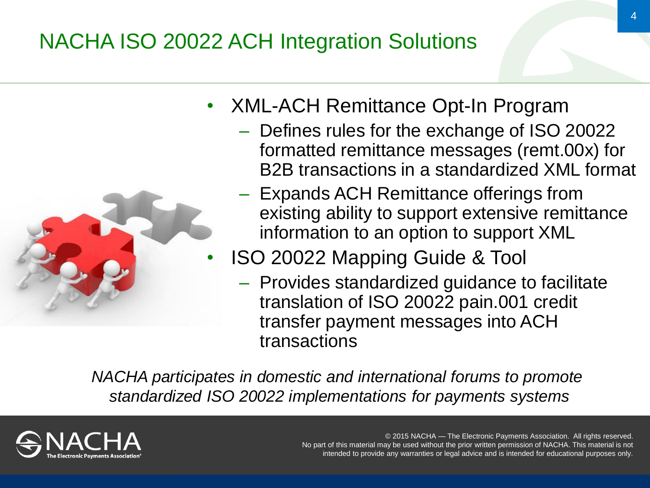# NACHA ISO 20022 ACH Integration Solutions



- XML-ACH Remittance Opt-In Program
	- Defines rules for the exchange of ISO 20022 formatted remittance messages (remt.00x) for B2B transactions in a standardized XML format
	- Expands ACH Remittance offerings from existing ability to support extensive remittance information to an option to support XML
	- ISO 20022 Mapping Guide & Tool
		- Provides standardized guidance to facilitate translation of ISO 20022 pain.001 credit transfer payment messages into ACH transactions

*NACHA participates in domestic and international forums to promote standardized ISO 20022 implementations for payments systems*

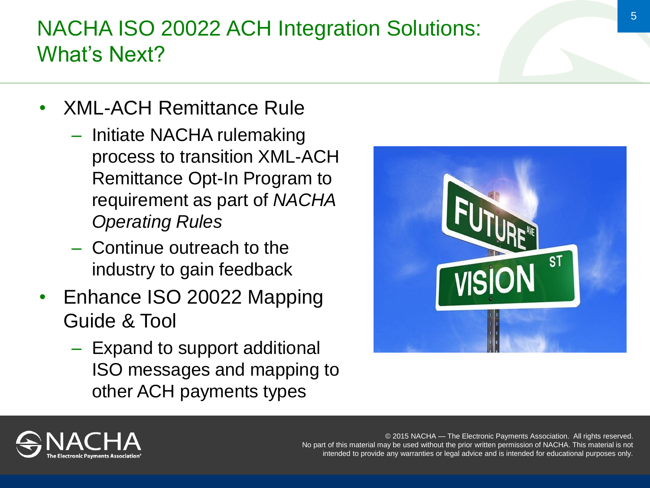### NACHA ISO 20022 ACH Integration Solutions: What's Next?

- XML-ACH Remittance Rule
	- Initiate NACHA rulemaking process to transition XML-ACH Remittance Opt-In Program to requirement as part of *NACHA Operating Rules*
	- Continue outreach to the industry to gain feedback
- Enhance ISO 20022 Mapping Guide & Tool
	- Expand to support additional ISO messages and mapping to other ACH payments types



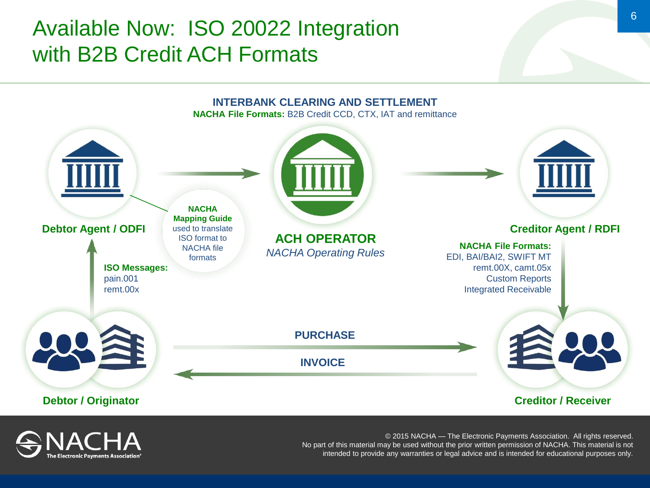#### Available Now: ISO 20022 Integration with B2B Credit ACH Formats



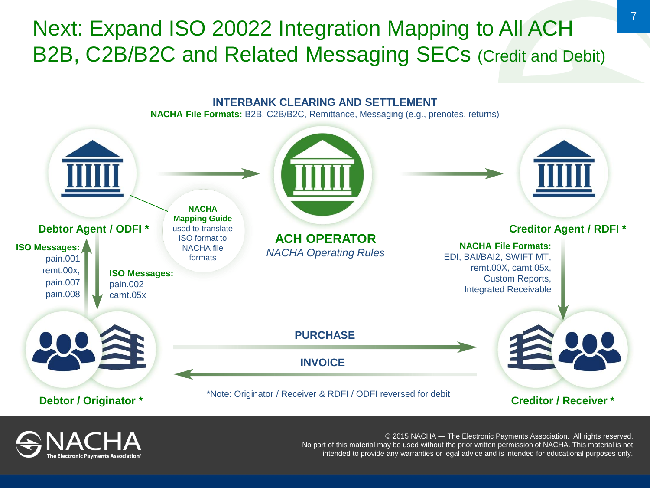#### Next: Expand ISO 20022 Integration Mapping to All ACH B2B, C2B/B2C and Related Messaging SECs (Credit and Debit)



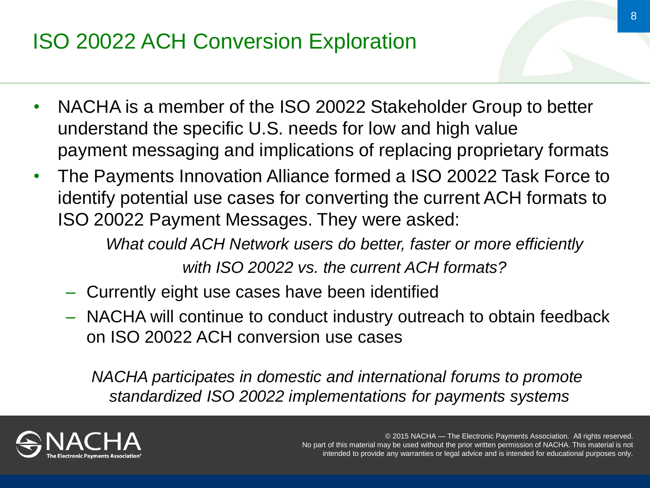# ISO 20022 ACH Conversion Exploration

- NACHA is a member of the ISO 20022 Stakeholder Group to better understand the specific U.S. needs for low and high value payment messaging and implications of replacing proprietary formats
- The Payments Innovation Alliance formed a ISO 20022 Task Force to identify potential use cases for converting the current ACH formats to ISO 20022 Payment Messages. They were asked:

*What could ACH Network users do better, faster or more efficiently with ISO 20022 vs. the current ACH formats?*

- Currently eight use cases have been identified
- NACHA will continue to conduct industry outreach to obtain feedback on ISO 20022 ACH conversion use cases

*NACHA participates in domestic and international forums to promote standardized ISO 20022 implementations for payments systems*

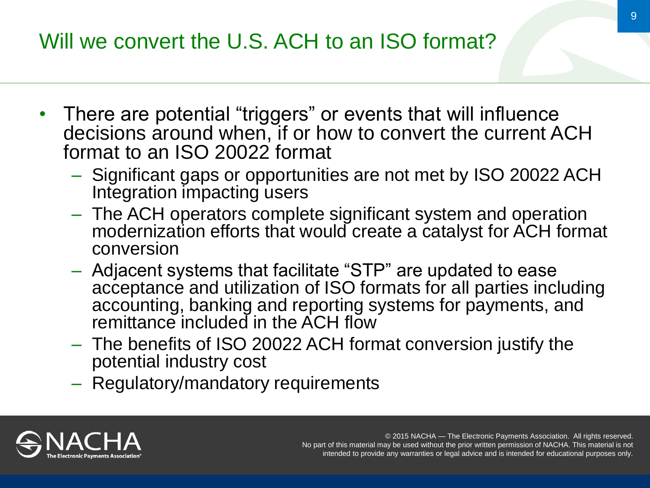- There are potential "triggers" or events that will influence decisions around when, if or how to convert the current ACH format to an ISO 20022 format
	- Significant gaps or opportunities are not met by ISO 20022 ACH Integration impacting users
	- The ACH operators complete significant system and operation modernization efforts that would create a catalyst for ACH format conversion
	- Adjacent systems that facilitate "STP" are updated to ease acceptance and utilization of ISO formats for all parties including accounting, banking and reporting systems for payments, and remittance included in the ACH flow
	- The benefits of ISO 20022 ACH format conversion justify the potential industry cost
	- Regulatory/mandatory requirements

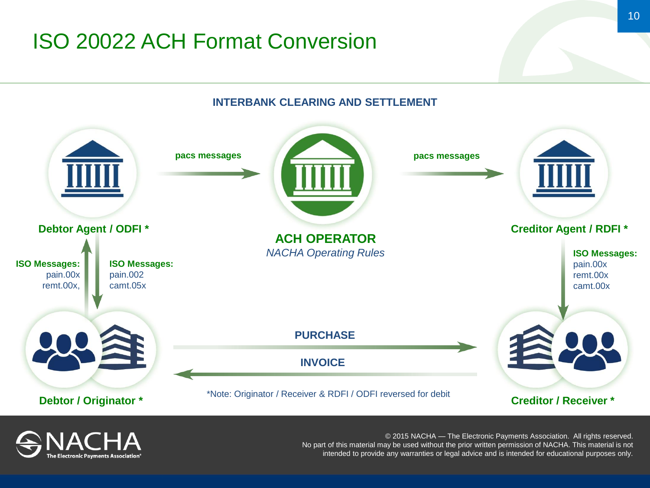### ISO 20022 ACH Format Conversion

**INTERBANK CLEARING AND SETTLEMENT**



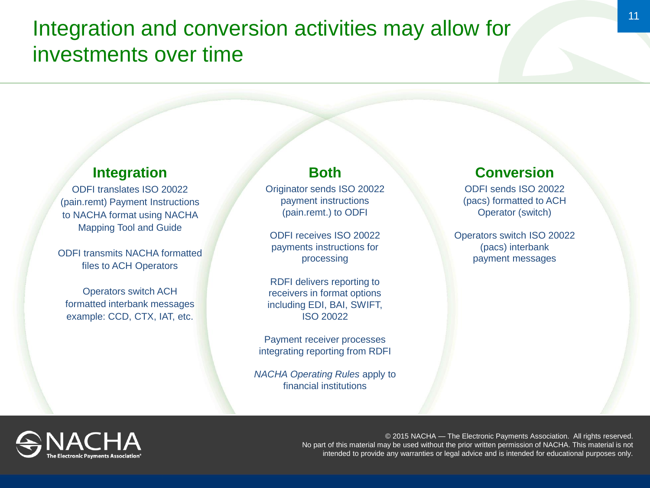#### Integration and conversion activities may allow for investments over time

#### **Integration**

ODFI translates ISO 20022 (pain.remt) Payment Instructions to NACHA format using NACHA Mapping Tool and Guide

ODFI transmits NACHA formatted files to ACH Operators

Operators switch ACH formatted interbank messages example: CCD, CTX, IAT, etc.

#### **Both**

Originator sends ISO 20022 payment instructions (pain.remt.) to ODFI

ODFI receives ISO 20022 payments instructions for processing

RDFI delivers reporting to receivers in format options including EDI, BAI, SWIFT, ISO 20022

Payment receiver processes integrating reporting from RDFI

*NACHA Operating Rules* apply to financial institutions

#### **Conversion**

ODFI sends ISO 20022 (pacs) formatted to ACH Operator (switch)

Operators switch ISO 20022 (pacs) interbank payment messages

© 2015 NACHA — The Electronic Payments Association. All rights reserved. No part of this material may be used without the prior written permission of NACHA. This material is not intended to provide any warranties or legal advice and is intended for educational purposes only.

11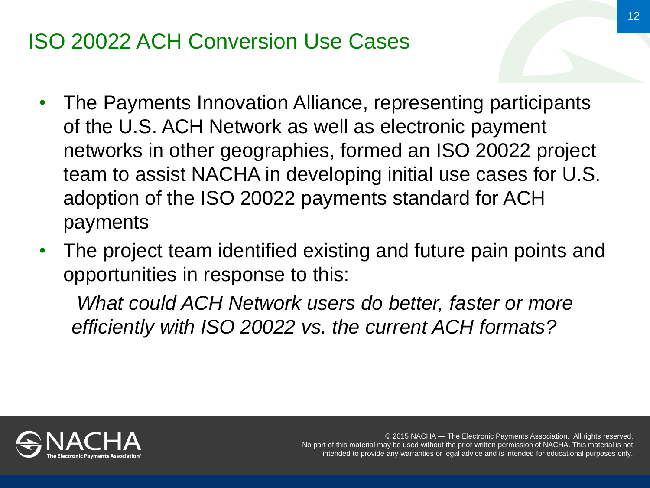## ISO 20022 ACH Conversion Use Cases

- The Payments Innovation Alliance, representing participants of the U.S. ACH Network as well as electronic payment networks in other geographies, formed an ISO 20022 project team to assist NACHA in developing initial use cases for U.S. adoption of the ISO 20022 payments standard for ACH payments
- The project team identified existing and future pain points and opportunities in response to this:

*What could ACH Network users do better, faster or more efficiently with ISO 20022 vs. the current ACH formats?*

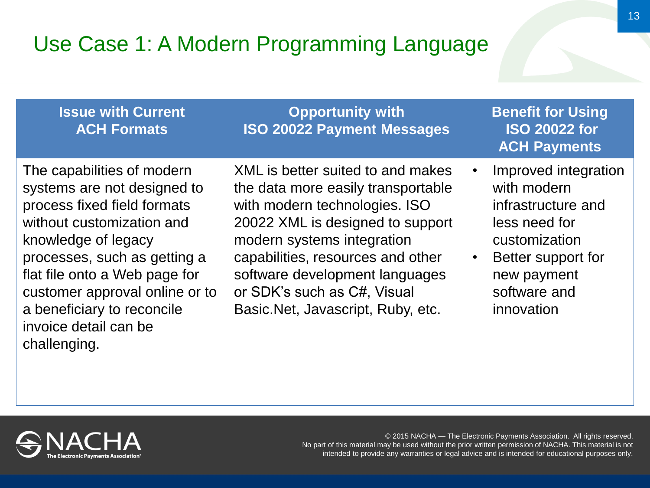### Use Case 1: A Modern Programming Language

#### **Issue with Current ACH Formats**

**Opportunity with ISO 20022 Payment Messages**

The capabilities of modern systems are not designed to process fixed field formats without customization and knowledge of legacy processes, such as getting a flat file onto a Web page for customer approval online or to a beneficiary to reconcile invoice detail can be challenging.

XML is better suited to and makes the data more easily transportable with modern technologies. ISO 20022 XML is designed to support modern systems integration capabilities, resources and other software development languages or SDK's such as C#, Visual Basic.Net, Javascript, Ruby, etc.

**Benefit for Using ISO 20022 for ACH Payments**

- Improved integration with modern infrastructure and less need for customization
- Better support for new payment software and innovation

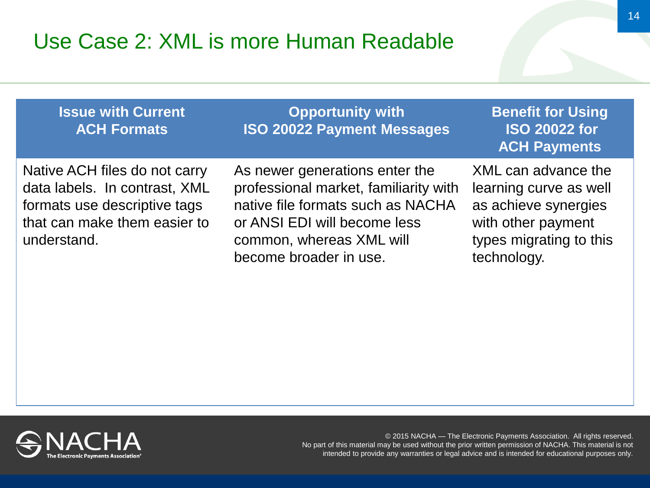#### Use Case 2: XML is more Human Readable

**Issue with Current ACH Formats**

**Opportunity with ISO 20022 Payment Messages** **Benefit for Using ISO 20022 for ACH Payments**

Native ACH files do not carry data labels. In contrast, XML formats use descriptive tags that can make them easier to understand.

As newer generations enter the professional market, familiarity with native file formats such as NACHA or ANSI EDI will become less common, whereas XML will become broader in use.

XML can advance the learning curve as well as achieve synergies with other payment types migrating to this technology.

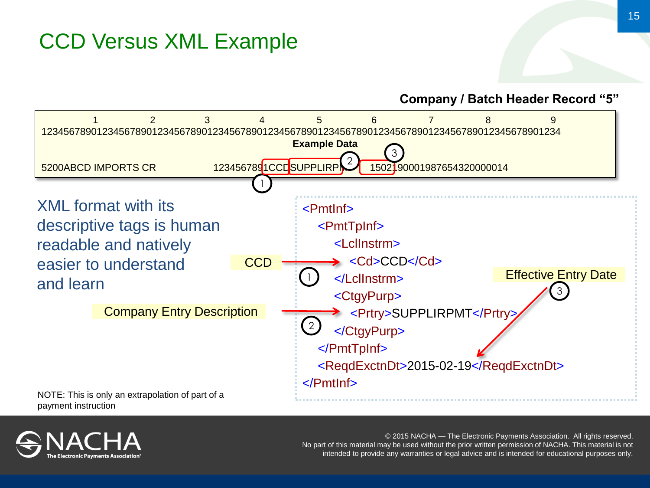### CCD Versus XML Example

**Company / Batch Header Record "5"**



payment instruction

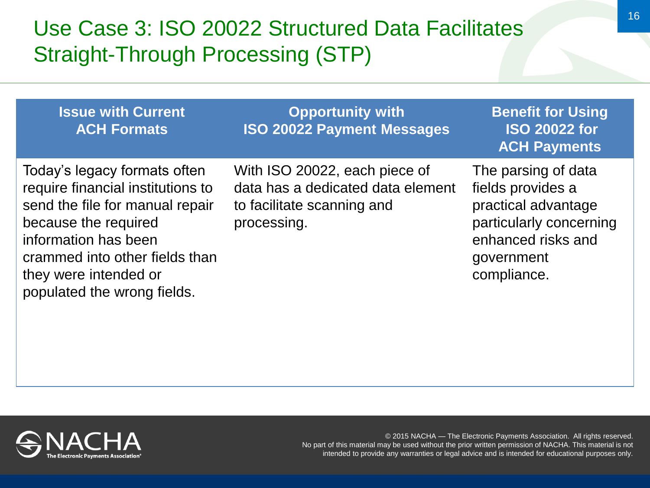### Use Case 3: ISO 20022 Structured Data Facilitates Straight-Through Processing (STP)

| <b>Issue with Current</b><br><b>ACH Formats</b>                                                                                                                                                                                                | <b>Opportunity with</b><br><b>ISO 20022 Payment Messages</b>                                                    | <b>Benefit for Using</b><br><b>ISO 20022 for</b><br><b>ACH Payments</b>                                                                       |
|------------------------------------------------------------------------------------------------------------------------------------------------------------------------------------------------------------------------------------------------|-----------------------------------------------------------------------------------------------------------------|-----------------------------------------------------------------------------------------------------------------------------------------------|
| Today's legacy formats often<br>require financial institutions to<br>send the file for manual repair<br>because the required<br>information has been<br>crammed into other fields than<br>they were intended or<br>populated the wrong fields. | With ISO 20022, each piece of<br>data has a dedicated data element<br>to facilitate scanning and<br>processing. | The parsing of data<br>fields provides a<br>practical advantage<br>particularly concerning<br>enhanced risks and<br>government<br>compliance. |

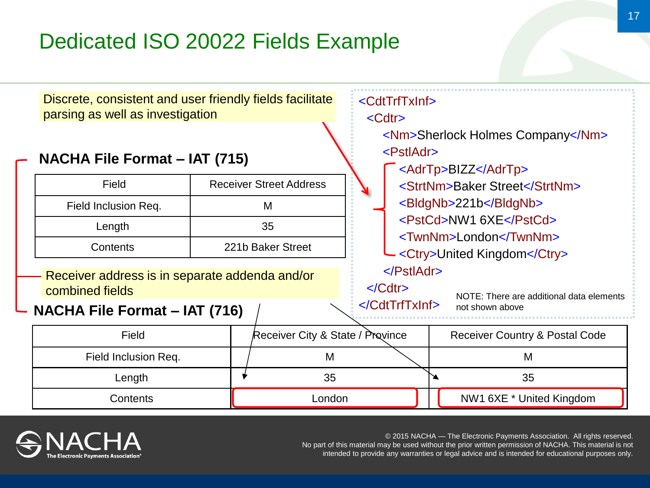### Dedicated ISO 20022 Fields Example



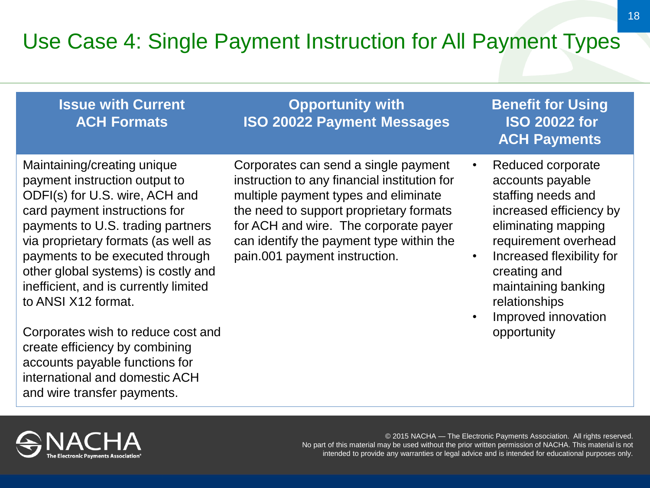### Use Case 4: Single Payment Instruction for All Payment Types

#### **Issue with Current ACH Formats**

**Opportunity with ISO 20022 Payment Messages**

Maintaining/creating unique payment instruction output to ODFI(s) for U.S. wire, ACH and card payment instructions for payments to U.S. trading partners via proprietary formats (as well as payments to be executed through other global systems) is costly and inefficient, and is currently limited to ANSI X12 format.

Corporates wish to reduce cost and create efficiency by combining accounts payable functions for international and domestic ACH and wire transfer payments.

Corporates can send a single payment instruction to any financial institution for multiple payment types and eliminate the need to support proprietary formats for ACH and wire. The corporate payer can identify the payment type within the pain.001 payment instruction.

**Benefit for Using ISO 20022 for ACH Payments**

- Reduced corporate accounts payable staffing needs and increased efficiency by eliminating mapping requirement overhead
- Increased flexibility for creating and maintaining banking relationships
- Improved innovation opportunity

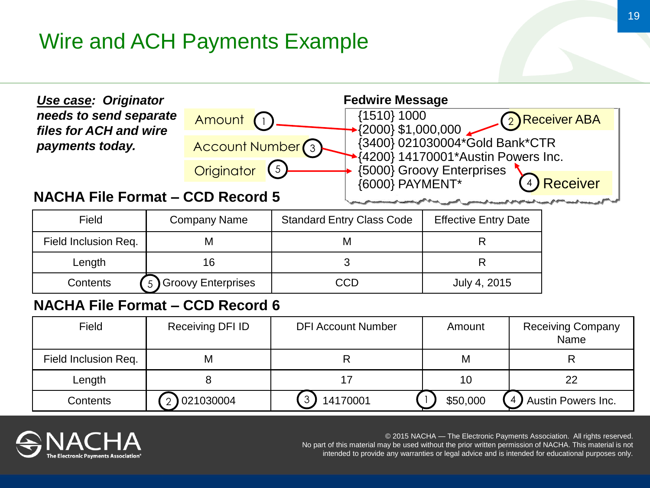### Wire and ACH Payments Example



#### Field Field Company Name Standard Entry Class Code | Effective Entry Date Field Inclusion Req. | M | M | R Length 16 3 R Contents (5) Groovy Enterprises | CCD July 4, 2015  $\overline{5}$

#### **NACHA File Format – CCD Record 6**

| Field                | Receiving DFI ID | <b>DFI Account Number</b> | Amount   | <b>Receiving Company</b><br>Name |
|----------------------|------------------|---------------------------|----------|----------------------------------|
| Field Inclusion Req. | Μ                |                           | M        |                                  |
| Length               |                  |                           | 10       |                                  |
| <b>Contents</b>      | 021030004        | 3<br>14170001             | \$50,000 | 4) Austin Powers Inc.            |

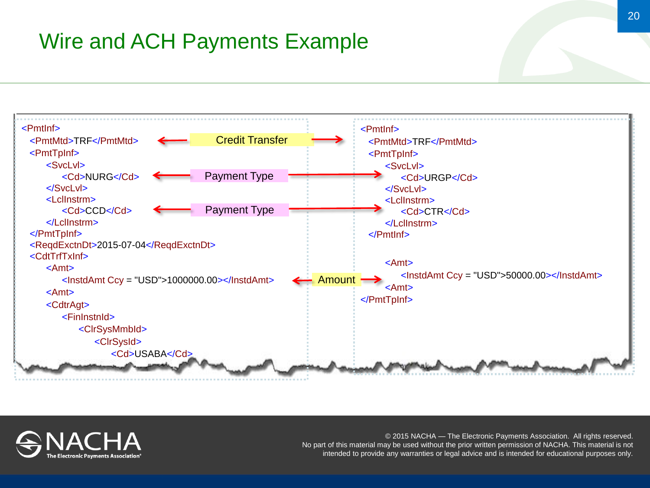### Wire and ACH Payments Example



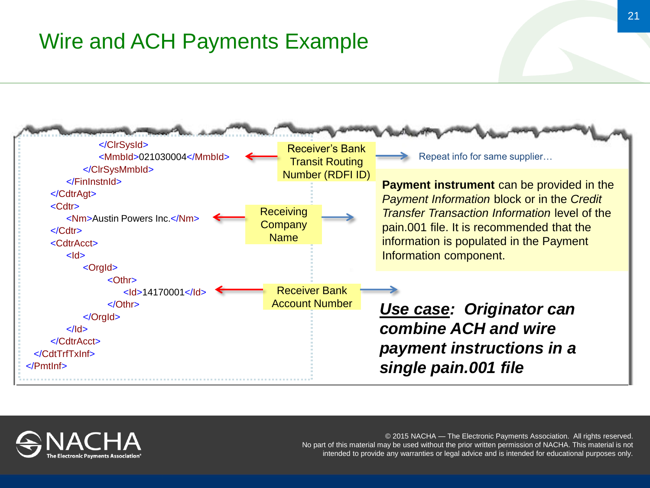#### Wire and ACH Payments Example



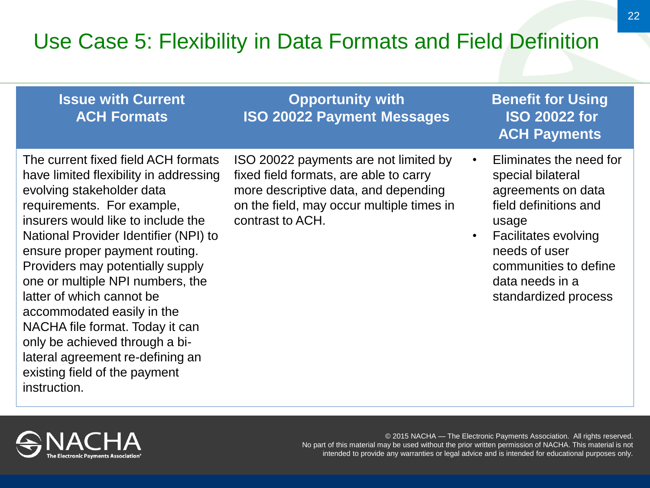### Use Case 5: Flexibility in Data Formats and Field Definition

#### **Issue with Current ACH Formats**

**Opportunity with ISO 20022 Payment Messages**

The current fixed field ACH formats have limited flexibility in addressing evolving stakeholder data requirements. For example, insurers would like to include the National Provider Identifier (NPI) to ensure proper payment routing. Providers may potentially supply one or multiple NPI numbers, the latter of which cannot be accommodated easily in the NACHA file format. Today it can only be achieved through a bilateral agreement re-defining an existing field of the payment instruction.

ISO 20022 payments are not limited by fixed field formats, are able to carry more descriptive data, and depending on the field, may occur multiple times in contrast to ACH.

**Benefit for Using ISO 20022 for ACH Payments**

- Eliminates the need for special bilateral agreements on data field definitions and usage
- Facilitates evolving needs of user communities to define data needs in a standardized process

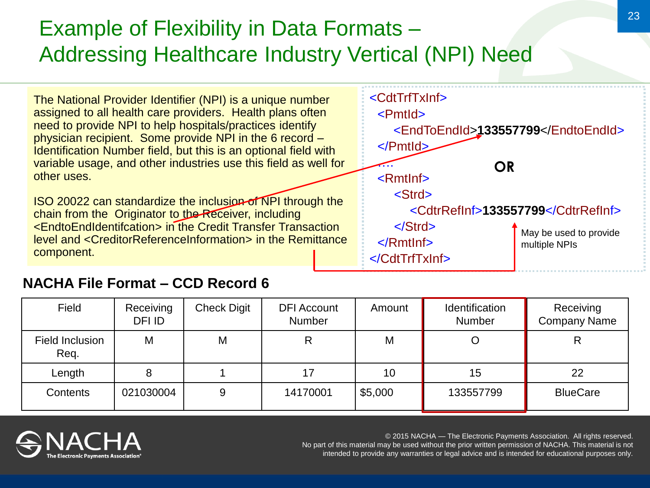### Example of Flexibility in Data Formats – Addressing Healthcare Industry Vertical (NPI) Need



#### **NACHA File Format – CCD Record 6**

| Field                   | Receiving<br>DFI ID | <b>Check Digit</b> | <b>DFI</b> Account<br><b>Number</b> | Amount  | Identification<br><b>Number</b> | Receiving<br><b>Company Name</b> |
|-------------------------|---------------------|--------------------|-------------------------------------|---------|---------------------------------|----------------------------------|
| Field Inclusion<br>Req. | M                   | M                  |                                     | M       |                                 | R                                |
| Length                  |                     |                    | 17                                  | 10      | 15                              | 22                               |
| <b>Contents</b>         | 021030004           | 9                  | 14170001                            | \$5,000 | 133557799                       | <b>BlueCare</b>                  |

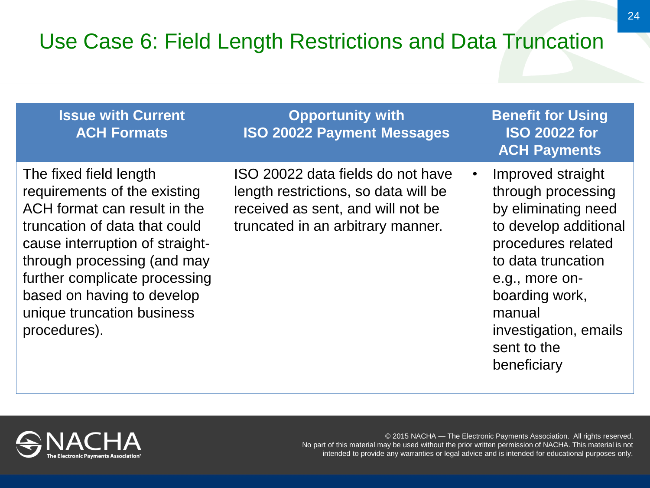### Use Case 6: Field Length Restrictions and Data Truncation

| <b>Issue with Current</b><br><b>ACH Formats</b>                                                                                                                                                                                                                                                        | <b>Opportunity with</b><br><b>ISO 20022 Payment Messages</b>                                                                                        |           | <b>Benefit for Using</b><br><b>ISO 20022 for</b><br><b>ACH Payments</b>                                                                                                                                                                  |
|--------------------------------------------------------------------------------------------------------------------------------------------------------------------------------------------------------------------------------------------------------------------------------------------------------|-----------------------------------------------------------------------------------------------------------------------------------------------------|-----------|------------------------------------------------------------------------------------------------------------------------------------------------------------------------------------------------------------------------------------------|
| The fixed field length<br>requirements of the existing<br>ACH format can result in the<br>truncation of data that could<br>cause interruption of straight-<br>through processing (and may<br>further complicate processing<br>based on having to develop<br>unique truncation business<br>procedures). | ISO 20022 data fields do not have<br>length restrictions, so data will be<br>received as sent, and will not be<br>truncated in an arbitrary manner. | $\bullet$ | Improved straight<br>through processing<br>by eliminating need<br>to develop additional<br>procedures related<br>to data truncation<br>e.g., more on-<br>boarding work,<br>manual<br>investigation, emails<br>sent to the<br>beneficiary |

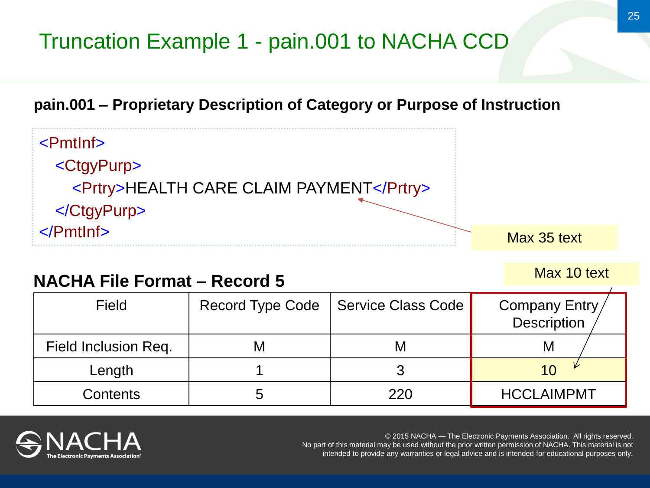# Truncation Example 1 - pain.001 to NACHA CCD





#### **NACHA File Format – Record 5**

| <b>Field</b>         |   | Record Type Code   Service Class Code | Company Entry<br><b>Description</b> |
|----------------------|---|---------------------------------------|-------------------------------------|
| Field Inclusion Req. | M | M                                     | M                                   |
| Length               |   |                                       |                                     |
| Contents             |   | 220                                   | <b>HCCLAIMPMT</b>                   |



© 2015 NACHA — The Electronic Payments Association. All rights reserved. No part of this material may be used without the prior written permission of NACHA. This material is not intended to provide any warranties or legal advice and is intended for educational purposes only.

Max 10 text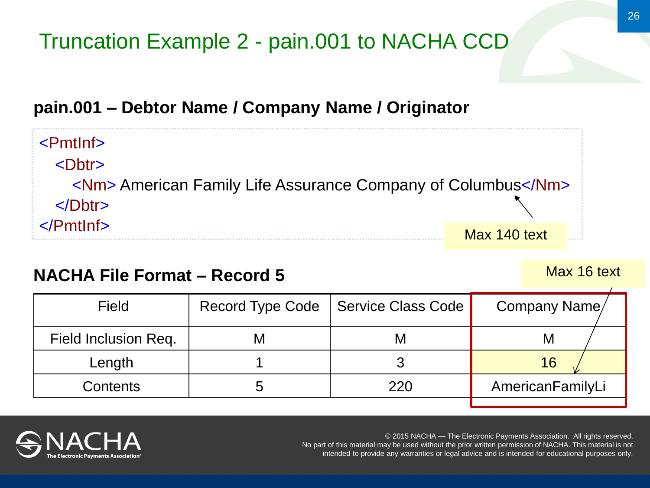#### **pain.001 – Debtor Name / Company Name / Originator**

<Dbtr> <Nm> American Family Life Assurance Company of Columbus</Nm> </Dbtr> </PmtInf> Max 140 text

#### **NACHA File Format – Record 5**

| Field                | Record Type Code   Service Class Code | Company Name/    |
|----------------------|---------------------------------------|------------------|
| Field Inclusion Req. | M                                     | M                |
| Length               |                                       | 16               |
| <b>Contents</b>      | 220                                   | AmericanFamilyLi |
|                      |                                       |                  |

<PmtInf>

© 2015 NACHA — The Electronic Payments Association. All rights reserved. No part of this material may be used without the prior written permission of NACHA. This material is not intended to provide any warranties or legal advice and is intended for educational purposes only.

Max 16 text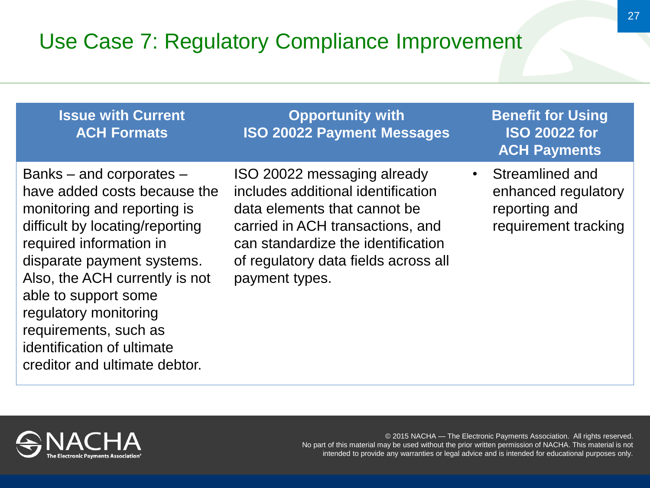### Use Case 7: Regulatory Compliance Improvement

| <b>Issue with Current</b><br><b>ACH Formats</b>                                                                                                                                                                                                                                                                                                                | <b>Opportunity with</b><br><b>ISO 20022 Payment Messages</b>                                                                                                                                                                          | <b>Benefit for Using</b><br><b>ISO 20022 for</b><br><b>ACH Payments</b>         |
|----------------------------------------------------------------------------------------------------------------------------------------------------------------------------------------------------------------------------------------------------------------------------------------------------------------------------------------------------------------|---------------------------------------------------------------------------------------------------------------------------------------------------------------------------------------------------------------------------------------|---------------------------------------------------------------------------------|
| Banks – and corporates –<br>have added costs because the<br>monitoring and reporting is<br>difficult by locating/reporting<br>required information in<br>disparate payment systems.<br>Also, the ACH currently is not<br>able to support some<br>regulatory monitoring<br>requirements, such as<br>identification of ultimate<br>creditor and ultimate debtor. | ISO 20022 messaging already<br>includes additional identification<br>data elements that cannot be<br>carried in ACH transactions, and<br>can standardize the identification<br>of regulatory data fields across all<br>payment types. | Streamlined and<br>enhanced regulatory<br>reporting and<br>requirement tracking |

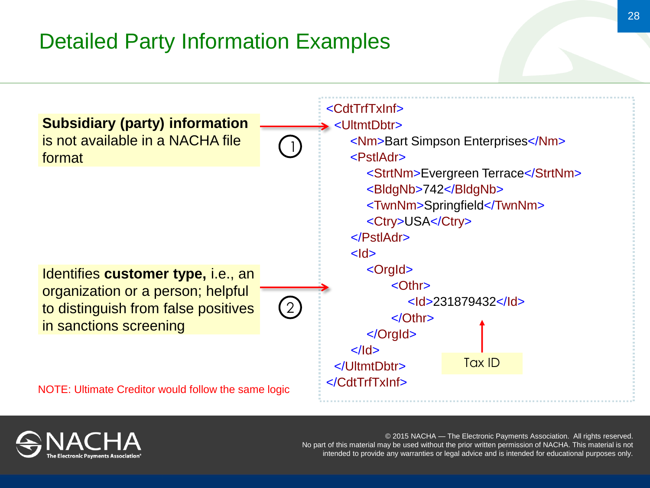### Detailed Party Information Examples



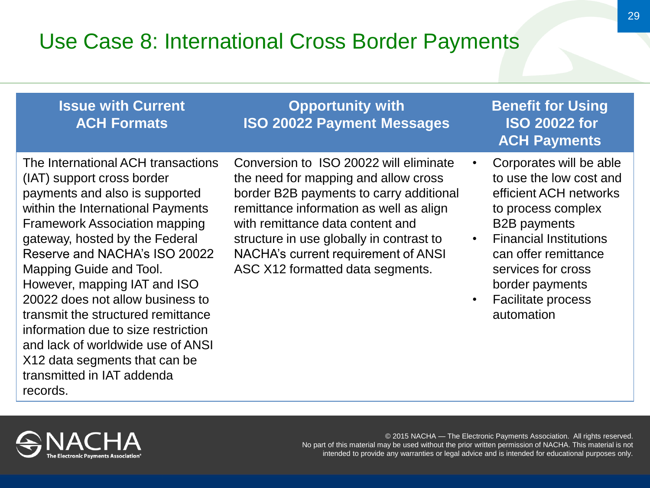#### Use Case 8: International Cross Border Payments

#### **Issue with Current ACH Formats**

The International ACH transactions (IAT) support cross border payments and also is supported within the International Payments Framework Association mapping gateway, hosted by the Federal Reserve and NACHA's ISO 20022 Mapping Guide and Tool. However, mapping IAT and ISO 20022 does not allow business to transmit the structured remittance information due to size restriction and lack of worldwide use of ANSI X12 data segments that can be transmitted in IAT addenda records.

Conversion to ISO 20022 will eliminate the need for mapping and allow cross border B2B payments to carry additional remittance information as well as align with remittance data content and structure in use globally in contrast to NACHA's current requirement of ANSI ASC X12 formatted data segments.

**Opportunity with ISO 20022 Payment Messages**

#### **Benefit for Using ISO 20022 for ACH Payments**

- Corporates will be able to use the low cost and efficient ACH networks to process complex B2B payments
- Financial Institutions can offer remittance services for cross border payments
- Facilitate process automation

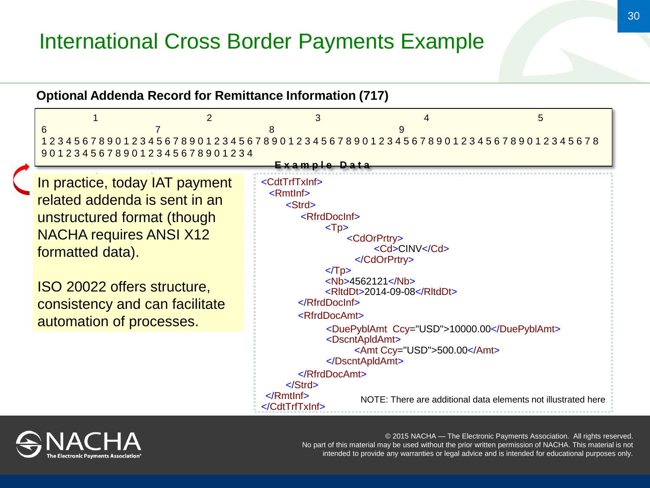#### International Cross Border Payments Example

**Optional Addenda Record for Remittance Information (717)**

 $1$  and  $2$  3 and  $4$  5 6 7 8 9 12345678901234567890123456789012345678901234567890123456789012345678 90123456789012345678901234 **E x a m p l e D a t a** n prooties todey IAT poument In practice, today IAT payment related addenda is sent in an unstructured format (though NACHA requires ANSI X12 formatted data). ISO 20022 offers structure, consistency and can facilitate automation of processes. <CdtTrfTxInf> <RmtInf> <Strd> <RfrdDocInf>  $<$ Tp $>$  <CdOrPrtry> <Cd>CINV</Cd> </CdOrPrtry>  $<$ Tp $>$  <Nb>4562121</Nb> <RltdDt>2014-09-08</RltdDt> </RfrdDocInf> <RfrdDocAmt> <DuePyblAmt Ccy="USD">10000.00</DuePyblAmt> <DscntApldAmt> <Amt Ccy="USD">500.00</Amt> </DscntApldAmt> </RfrdDocAmt> </Strd> </RmtInf> </CdtTrfTxInf> NOTE: There are additional data elements not illustrated here